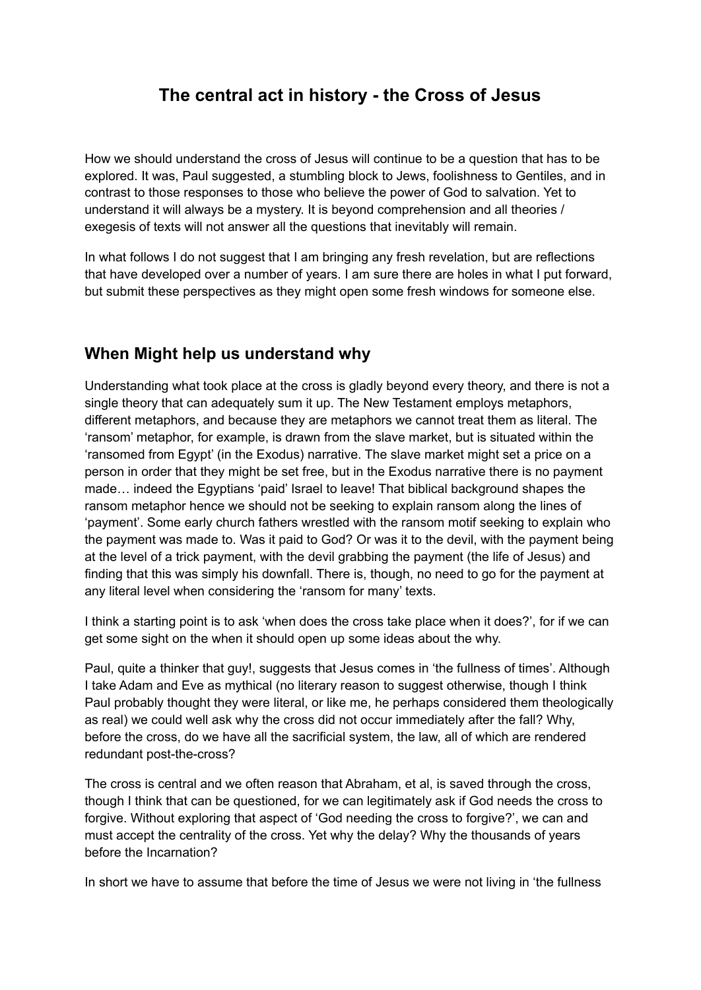# **The central act in history - the Cross of Jesus**

How we should understand the cross of Jesus will continue to be a question that has to be explored. It was, Paul suggested, a stumbling block to Jews, foolishness to Gentiles, and in contrast to those responses to those who believe the power of God to salvation. Yet to understand it will always be a mystery. It is beyond comprehension and all theories / exegesis of texts will not answer all the questions that inevitably will remain.

In what follows I do not suggest that I am bringing any fresh revelation, but are reflections that have developed over a number of years. I am sure there are holes in what I put forward, but submit these perspectives as they might open some fresh windows for someone else.

### **When Might help us understand why**

Understanding what took place at the cross is gladly beyond every theory, and there is not a single theory that can adequately sum it up. The New Testament employs metaphors, different metaphors, and because they are metaphors we cannot treat them as literal. The 'ransom' metaphor, for example, is drawn from the slave market, but is situated within the 'ransomed from Egypt' (in the Exodus) narrative. The slave market might set a price on a person in order that they might be set free, but in the Exodus narrative there is no payment made… indeed the Egyptians 'paid' Israel to leave! That biblical background shapes the ransom metaphor hence we should not be seeking to explain ransom along the lines of 'payment'. Some early church fathers wrestled with the ransom motif seeking to explain who the payment was made to. Was it paid to God? Or was it to the devil, with the payment being at the level of a trick payment, with the devil grabbing the payment (the life of Jesus) and finding that this was simply his downfall. There is, though, no need to go for the payment at any literal level when considering the 'ransom for many' texts.

I think a starting point is to ask 'when does the cross take place when it does?', for if we can get some sight on the when it should open up some ideas about the why.

Paul, quite a thinker that guy!, suggests that Jesus comes in 'the fullness of times'. Although I take Adam and Eve as mythical (no literary reason to suggest otherwise, though I think Paul probably thought they were literal, or like me, he perhaps considered them theologically as real) we could well ask why the cross did not occur immediately after the fall? Why, before the cross, do we have all the sacrificial system, the law, all of which are rendered redundant post-the-cross?

The cross is central and we often reason that Abraham, et al, is saved through the cross, though I think that can be questioned, for we can legitimately ask if God needs the cross to forgive. Without exploring that aspect of 'God needing the cross to forgive?', we can and must accept the centrality of the cross. Yet why the delay? Why the thousands of years before the Incarnation?

In short we have to assume that before the time of Jesus we were not living in 'the fullness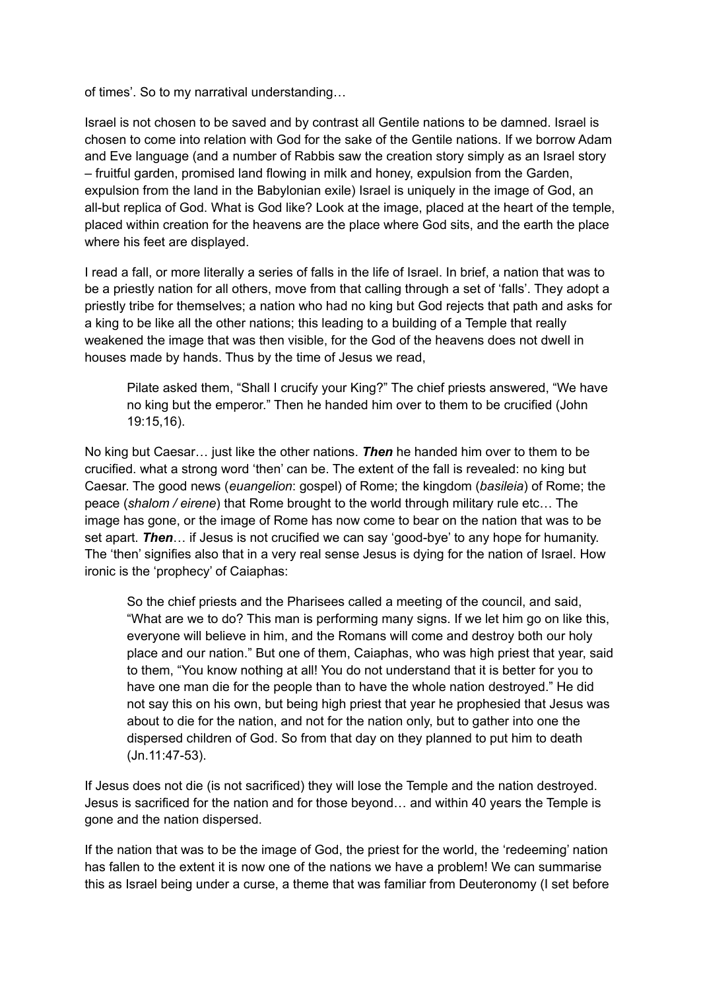of times'. So to my narratival understanding…

Israel is not chosen to be saved and by contrast all Gentile nations to be damned. Israel is chosen to come into relation with God for the sake of the Gentile nations. If we borrow Adam and Eve language (and a number of Rabbis saw the creation story simply as an Israel story – fruitful garden, promised land flowing in milk and honey, expulsion from the Garden, expulsion from the land in the Babylonian exile) Israel is uniquely in the image of God, an all-but replica of God. What is God like? Look at the image, placed at the heart of the temple, placed within creation for the heavens are the place where God sits, and the earth the place where his feet are displayed.

I read a fall, or more literally a series of falls in the life of Israel. In brief, a nation that was to be a priestly nation for all others, move from that calling through a set of 'falls'. They adopt a priestly tribe for themselves; a nation who had no king but God rejects that path and asks for a king to be like all the other nations; this leading to a building of a Temple that really weakened the image that was then visible, for the God of the heavens does not dwell in houses made by hands. Thus by the time of Jesus we read,

Pilate asked them, "Shall I crucify your King?" The chief priests answered, "We have no king but the emperor." Then he handed him over to them to be crucified (John 19:15,16).

No king but Caesar… just like the other nations. *Then* he handed him over to them to be crucified. what a strong word 'then' can be. The extent of the fall is revealed: no king but Caesar. The good news (*euangelion*: gospel) of Rome; the kingdom (*basileia*) of Rome; the peace (*shalom / eirene*) that Rome brought to the world through military rule etc… The image has gone, or the image of Rome has now come to bear on the nation that was to be set apart. *Then*… if Jesus is not crucified we can say 'good-bye' to any hope for humanity. The 'then' signifies also that in a very real sense Jesus is dying for the nation of Israel. How ironic is the 'prophecy' of Caiaphas:

So the chief priests and the Pharisees called a meeting of the council, and said, "What are we to do? This man is performing many signs. If we let him go on like this, everyone will believe in him, and the Romans will come and destroy both our holy place and our nation." But one of them, Caiaphas, who was high priest that year, said to them, "You know nothing at all! You do not understand that it is better for you to have one man die for the people than to have the whole nation destroyed." He did not say this on his own, but being high priest that year he prophesied that Jesus was about to die for the nation, and not for the nation only, but to gather into one the dispersed children of God. So from that day on they planned to put him to death (Jn.11:47-53).

If Jesus does not die (is not sacrificed) they will lose the Temple and the nation destroyed. Jesus is sacrificed for the nation and for those beyond… and within 40 years the Temple is gone and the nation dispersed.

If the nation that was to be the image of God, the priest for the world, the 'redeeming' nation has fallen to the extent it is now one of the nations we have a problem! We can summarise this as Israel being under a curse, a theme that was familiar from Deuteronomy (I set before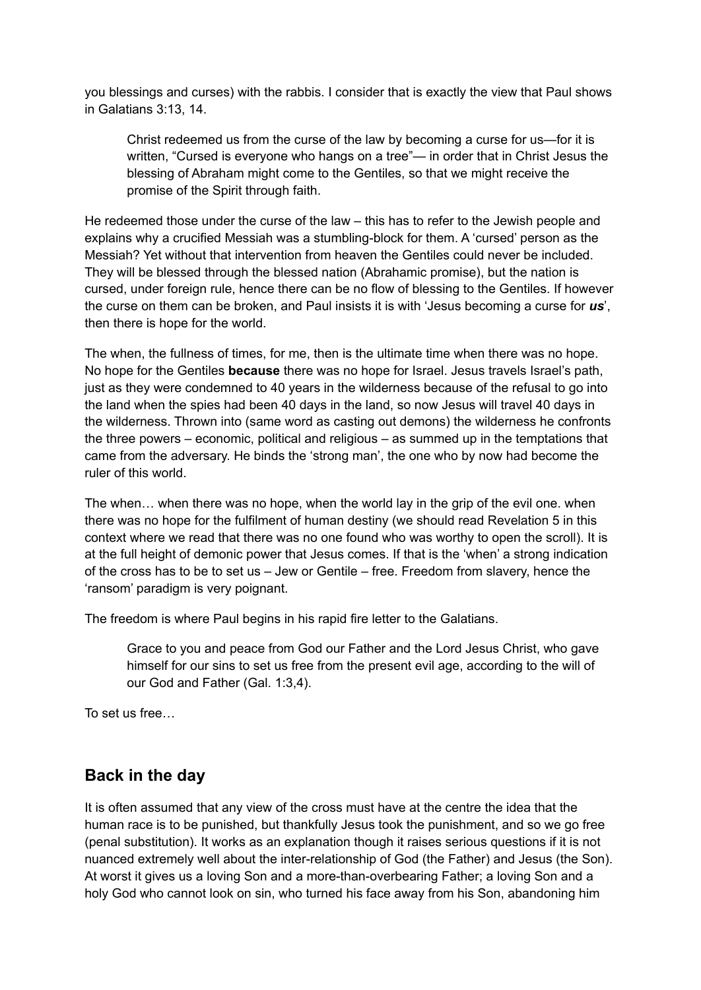you blessings and curses) with the rabbis. I consider that is exactly the view that Paul shows in Galatians 3:13, 14.

Christ redeemed us from the curse of the law by becoming a curse for us—for it is written, "Cursed is everyone who hangs on a tree"— in order that in Christ Jesus the blessing of Abraham might come to the Gentiles, so that we might receive the promise of the Spirit through faith.

He redeemed those under the curse of the law – this has to refer to the Jewish people and explains why a crucified Messiah was a stumbling-block for them. A 'cursed' person as the Messiah? Yet without that intervention from heaven the Gentiles could never be included. They will be blessed through the blessed nation (Abrahamic promise), but the nation is cursed, under foreign rule, hence there can be no flow of blessing to the Gentiles. If however the curse on them can be broken, and Paul insists it is with 'Jesus becoming a curse for *us*', then there is hope for the world.

The when, the fullness of times, for me, then is the ultimate time when there was no hope. No hope for the Gentiles **because** there was no hope for Israel. Jesus travels Israel's path, just as they were condemned to 40 years in the wilderness because of the refusal to go into the land when the spies had been 40 days in the land, so now Jesus will travel 40 days in the wilderness. Thrown into (same word as casting out demons) the wilderness he confronts the three powers – economic, political and religious – as summed up in the temptations that came from the adversary. He binds the 'strong man', the one who by now had become the ruler of this world.

The when… when there was no hope, when the world lay in the grip of the evil one. when there was no hope for the fulfilment of human destiny (we should read Revelation 5 in this context where we read that there was no one found who was worthy to open the scroll). It is at the full height of demonic power that Jesus comes. If that is the 'when' a strong indication of the cross has to be to set us – Jew or Gentile – free. Freedom from slavery, hence the 'ransom' paradigm is very poignant.

The freedom is where Paul begins in his rapid fire letter to the Galatians.

Grace to you and peace from God our Father and the Lord Jesus Christ, who gave himself for our sins to set us free from the present evil age, according to the will of our God and Father (Gal. 1:3,4).

To set us free…

#### **Back in the day**

It is often assumed that any view of the cross must have at the centre the idea that the human race is to be punished, but thankfully Jesus took the punishment, and so we go free (penal substitution). It works as an explanation though it raises serious questions if it is not nuanced extremely well about the inter-relationship of God (the Father) and Jesus (the Son). At worst it gives us a loving Son and a more-than-overbearing Father; a loving Son and a holy God who cannot look on sin, who turned his face away from his Son, abandoning him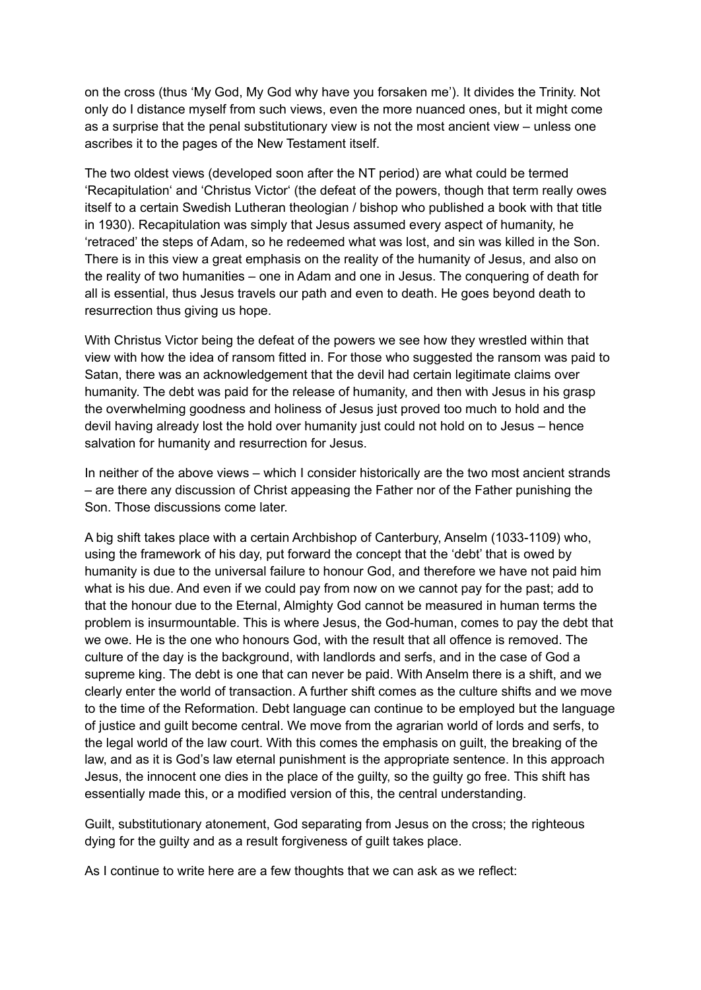on the cross (thus 'My God, My God why have you forsaken me'). It divides the Trinity. Not only do I distance myself from such views, even the more nuanced ones, but it might come as a surprise that the penal substitutionary view is not the most ancient view – unless one ascribes it to the pages of the New Testament itself.

The two oldest views (developed soon after the NT period) are what could be termed 'Recapitulation' and 'Christus Victor' (the defeat of the powers, though that term really owes itself to a certain Swedish Lutheran theologian / bishop who published a book with that title in 1930). Recapitulation was simply that Jesus assumed every aspect of humanity, he 'retraced' the steps of Adam, so he redeemed what was lost, and sin was killed in the Son. There is in this view a great emphasis on the reality of the humanity of Jesus, and also on the reality of two humanities – one in Adam and one in Jesus. The conquering of death for all is essential, thus Jesus travels our path and even to death. He goes beyond death to resurrection thus giving us hope.

With Christus Victor being the defeat of the powers we see how they wrestled within that view with how the idea of ransom fitted in. For those who suggested the ransom was paid to Satan, there was an acknowledgement that the devil had certain legitimate claims over humanity. The debt was paid for the release of humanity, and then with Jesus in his grasp the overwhelming goodness and holiness of Jesus just proved too much to hold and the devil having already lost the hold over humanity just could not hold on to Jesus – hence salvation for humanity and resurrection for Jesus.

In neither of the above views – which I consider historically are the two most ancient strands – are there any discussion of Christ appeasing the Father nor of the Father punishing the Son. Those discussions come later.

A big shift takes place with a certain Archbishop of Canterbury, Anselm (1033-1109) who, using the framework of his day, put forward the concept that the 'debt' that is owed by humanity is due to the universal failure to honour God, and therefore we have not paid him what is his due. And even if we could pay from now on we cannot pay for the past; add to that the honour due to the Eternal, Almighty God cannot be measured in human terms the problem is insurmountable. This is where Jesus, the God-human, comes to pay the debt that we owe. He is the one who honours God, with the result that all offence is removed. The culture of the day is the background, with landlords and serfs, and in the case of God a supreme king. The debt is one that can never be paid. With Anselm there is a shift, and we clearly enter the world of transaction. A further shift comes as the culture shifts and we move to the time of the Reformation. Debt language can continue to be employed but the language of justice and guilt become central. We move from the agrarian world of lords and serfs, to the legal world of the law court. With this comes the emphasis on guilt, the breaking of the law, and as it is God's law eternal punishment is the appropriate sentence. In this approach Jesus, the innocent one dies in the place of the guilty, so the guilty go free. This shift has essentially made this, or a modified version of this, the central understanding.

Guilt, substitutionary atonement, God separating from Jesus on the cross; the righteous dying for the guilty and as a result forgiveness of guilt takes place.

As I continue to write here are a few thoughts that we can ask as we reflect: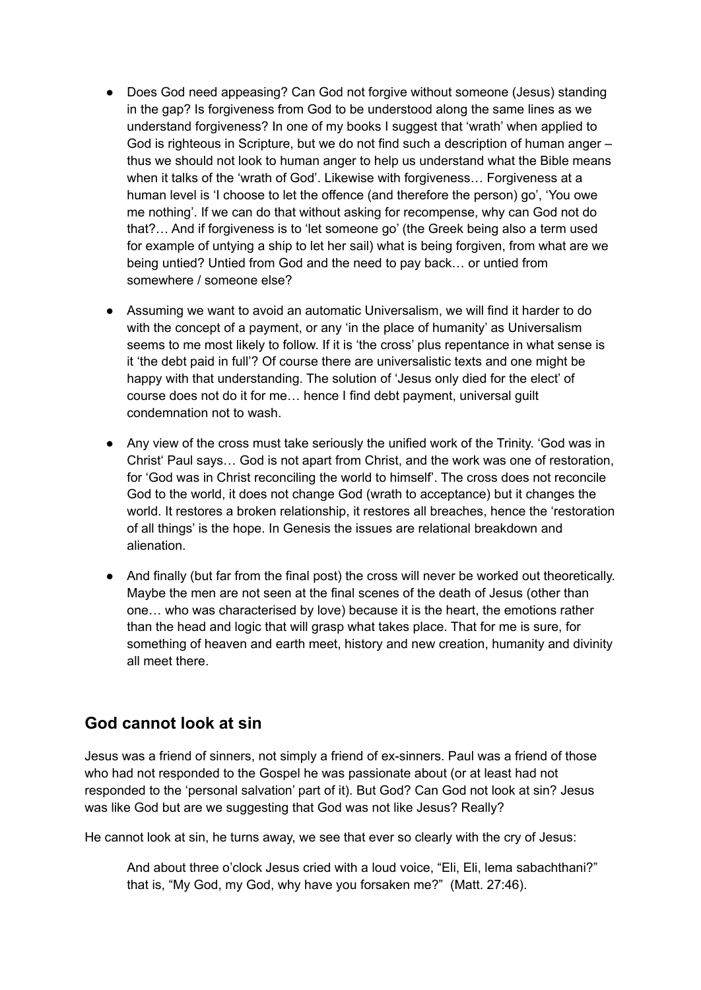- Does God need appeasing? Can God not forgive without someone (Jesus) standing in the gap? Is forgiveness from God to be understood along the same lines as we understand forgiveness? In one of my books I suggest that 'wrath' when applied to God is righteous in Scripture, but we do not find such a description of human anger – thus we should not look to human anger to help us understand what the Bible means when it talks of the 'wrath of God'. Likewise with forgiveness… Forgiveness at a human level is 'I choose to let the offence (and therefore the person) go', 'You owe me nothing'. If we can do that without asking for recompense, why can God not do that?… And if forgiveness is to 'let someone go' (the Greek being also a term used for example of untying a ship to let her sail) what is being forgiven, from what are we being untied? Untied from God and the need to pay back… or untied from somewhere / someone else?
- Assuming we want to avoid an automatic Universalism, we will find it harder to do with the concept of a payment, or any 'in the place of humanity' as Universalism seems to me most likely to follow. If it is 'the cross' plus repentance in what sense is it 'the debt paid in full'? Of course there are universalistic texts and one might be happy with that understanding. The solution of 'Jesus only died for the elect' of course does not do it for me… hence I find debt payment, universal guilt condemnation not to wash.
- Any view of the cross must take seriously the unified work of the Trinity. 'God was in Christ' Paul says… God is not apart from Christ, and the work was one of restoration, for 'God was in Christ reconciling the world to himself'. The cross does not reconcile God to the world, it does not change God (wrath to acceptance) but it changes the world. It restores a broken relationship, it restores all breaches, hence the 'restoration of all things' is the hope. In Genesis the issues are relational breakdown and alienation.
- And finally (but far from the final post) the cross will never be worked out theoretically. Maybe the men are not seen at the final scenes of the death of Jesus (other than one… who was characterised by love) because it is the heart, the emotions rather than the head and logic that will grasp what takes place. That for me is sure, for something of heaven and earth meet, history and new creation, humanity and divinity all meet there.

## **God cannot look at sin**

Jesus was a friend of sinners, not simply a friend of ex-sinners. Paul was a friend of those who had not responded to the Gospel he was passionate about (or at least had not responded to the 'personal salvation' part of it). But God? Can God not look at sin? Jesus was like God but are we suggesting that God was not like Jesus? Really?

He cannot look at sin, he turns away, we see that ever so clearly with the cry of Jesus:

And about three o'clock Jesus cried with a loud voice, "Eli, Eli, lema sabachthani?" that is, "My God, my God, why have you forsaken me?" (Matt. 27:46).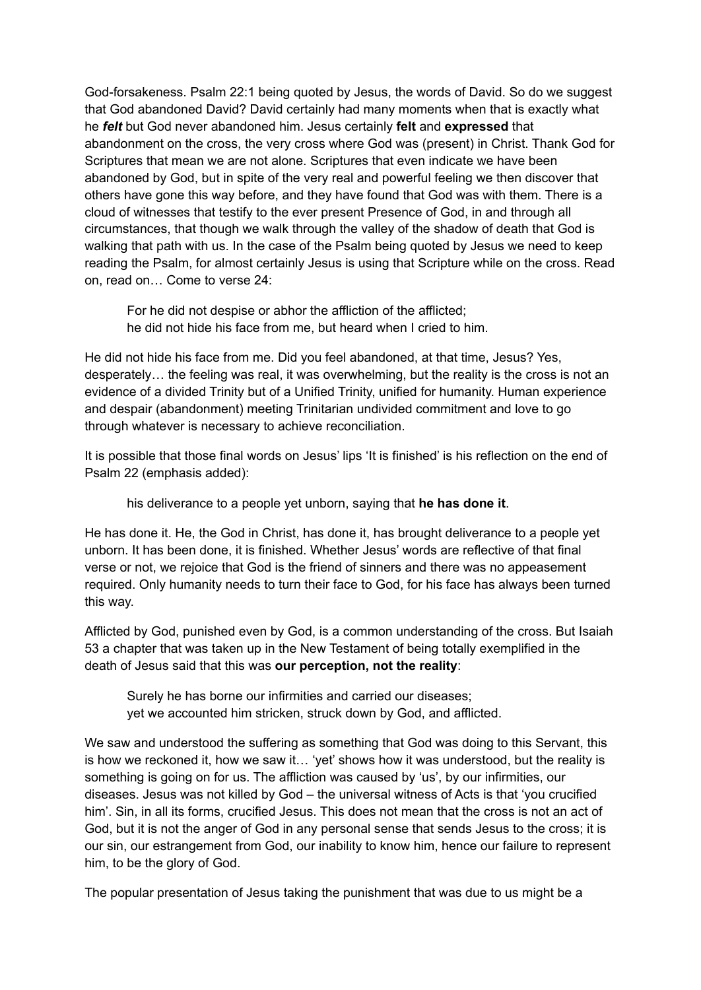God-forsakeness. Psalm 22:1 being quoted by Jesus, the words of David. So do we suggest that God abandoned David? David certainly had many moments when that is exactly what he *felt* but God never abandoned him. Jesus certainly **felt** and **expressed** that abandonment on the cross, the very cross where God was (present) in Christ. Thank God for Scriptures that mean we are not alone. Scriptures that even indicate we have been abandoned by God, but in spite of the very real and powerful feeling we then discover that others have gone this way before, and they have found that God was with them. There is a cloud of witnesses that testify to the ever present Presence of God, in and through all circumstances, that though we walk through the valley of the shadow of death that God is walking that path with us. In the case of the Psalm being quoted by Jesus we need to keep reading the Psalm, for almost certainly Jesus is using that Scripture while on the cross. Read on, read on… Come to verse 24:

For he did not despise or abhor the affliction of the afflicted; he did not hide his face from me, but heard when I cried to him.

He did not hide his face from me. Did you feel abandoned, at that time, Jesus? Yes, desperately… the feeling was real, it was overwhelming, but the reality is the cross is not an evidence of a divided Trinity but of a Unified Trinity, unified for humanity. Human experience and despair (abandonment) meeting Trinitarian undivided commitment and love to go through whatever is necessary to achieve reconciliation.

It is possible that those final words on Jesus' lips 'It is finished' is his reflection on the end of Psalm 22 (emphasis added):

his deliverance to a people yet unborn, saying that **he has done it**.

He has done it. He, the God in Christ, has done it, has brought deliverance to a people yet unborn. It has been done, it is finished. Whether Jesus' words are reflective of that final verse or not, we rejoice that God is the friend of sinners and there was no appeasement required. Only humanity needs to turn their face to God, for his face has always been turned this way.

Afflicted by God, punished even by God, is a common understanding of the cross. But Isaiah 53 a chapter that was taken up in the New Testament of being totally exemplified in the death of Jesus said that this was **our perception, not the reality**:

Surely he has borne our infirmities and carried our diseases; yet we accounted him stricken, struck down by God, and afflicted.

We saw and understood the suffering as something that God was doing to this Servant, this is how we reckoned it, how we saw it… 'yet' shows how it was understood, but the reality is something is going on for us. The affliction was caused by 'us', by our infirmities, our diseases. Jesus was not killed by God – the universal witness of Acts is that 'you crucified him'. Sin, in all its forms, crucified Jesus. This does not mean that the cross is not an act of God, but it is not the anger of God in any personal sense that sends Jesus to the cross; it is our sin, our estrangement from God, our inability to know him, hence our failure to represent him, to be the glory of God.

The popular presentation of Jesus taking the punishment that was due to us might be a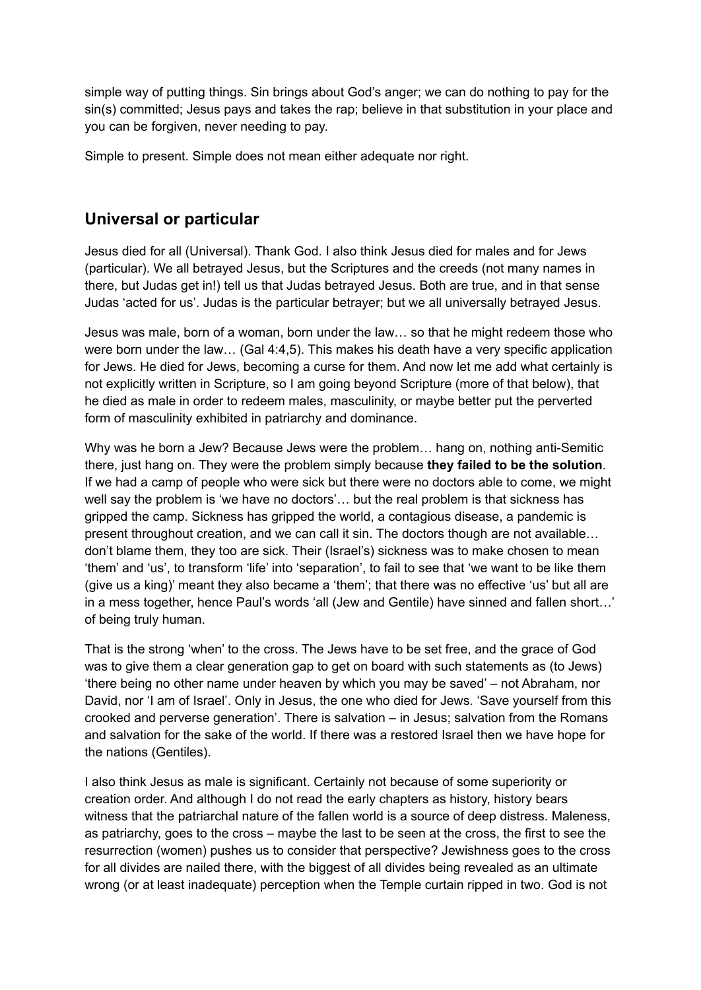simple way of putting things. Sin brings about God's anger; we can do nothing to pay for the sin(s) committed; Jesus pays and takes the rap; believe in that substitution in your place and you can be forgiven, never needing to pay.

Simple to present. Simple does not mean either adequate nor right.

## **Universal or particular**

Jesus died for all (Universal). Thank God. I also think Jesus died for males and for Jews (particular). We all betrayed Jesus, but the Scriptures and the creeds (not many names in there, but Judas get in!) tell us that Judas betrayed Jesus. Both are true, and in that sense Judas 'acted for us'. Judas is the particular betrayer; but we all universally betrayed Jesus.

Jesus was male, born of a woman, born under the law… so that he might redeem those who were born under the law… (Gal 4:4,5). This makes his death have a very specific application for Jews. He died for Jews, becoming a curse for them. And now let me add what certainly is not explicitly written in Scripture, so I am going beyond Scripture (more of that below), that he died as male in order to redeem males, masculinity, or maybe better put the perverted form of masculinity exhibited in patriarchy and dominance.

Why was he born a Jew? Because Jews were the problem… hang on, nothing anti-Semitic there, just hang on. They were the problem simply because **they failed to be the solution**. If we had a camp of people who were sick but there were no doctors able to come, we might well say the problem is 'we have no doctors'… but the real problem is that sickness has gripped the camp. Sickness has gripped the world, a contagious disease, a pandemic is present throughout creation, and we can call it sin. The doctors though are not available… don't blame them, they too are sick. Their (Israel's) sickness was to make chosen to mean 'them' and 'us', to transform 'life' into 'separation', to fail to see that 'we want to be like them (give us a king)' meant they also became a 'them'; that there was no effective 'us' but all are in a mess together, hence Paul's words 'all (Jew and Gentile) have sinned and fallen short…' of being truly human.

That is the strong 'when' to the cross. The Jews have to be set free, and the grace of God was to give them a clear generation gap to get on board with such statements as (to Jews) 'there being no other name under heaven by which you may be saved' – not Abraham, nor David, nor 'I am of Israel'. Only in Jesus, the one who died for Jews. 'Save yourself from this crooked and perverse generation'. There is salvation – in Jesus; salvation from the Romans and salvation for the sake of the world. If there was a restored Israel then we have hope for the nations (Gentiles).

I also think Jesus as male is significant. Certainly not because of some superiority or creation order. And although I do not read the early chapters as history, history bears witness that the patriarchal nature of the fallen world is a source of deep distress. Maleness, as patriarchy, goes to the cross – maybe the last to be seen at the cross, the first to see the resurrection (women) pushes us to consider that perspective? Jewishness goes to the cross for all divides are nailed there, with the biggest of all divides being revealed as an ultimate wrong (or at least inadequate) perception when the Temple curtain ripped in two. God is not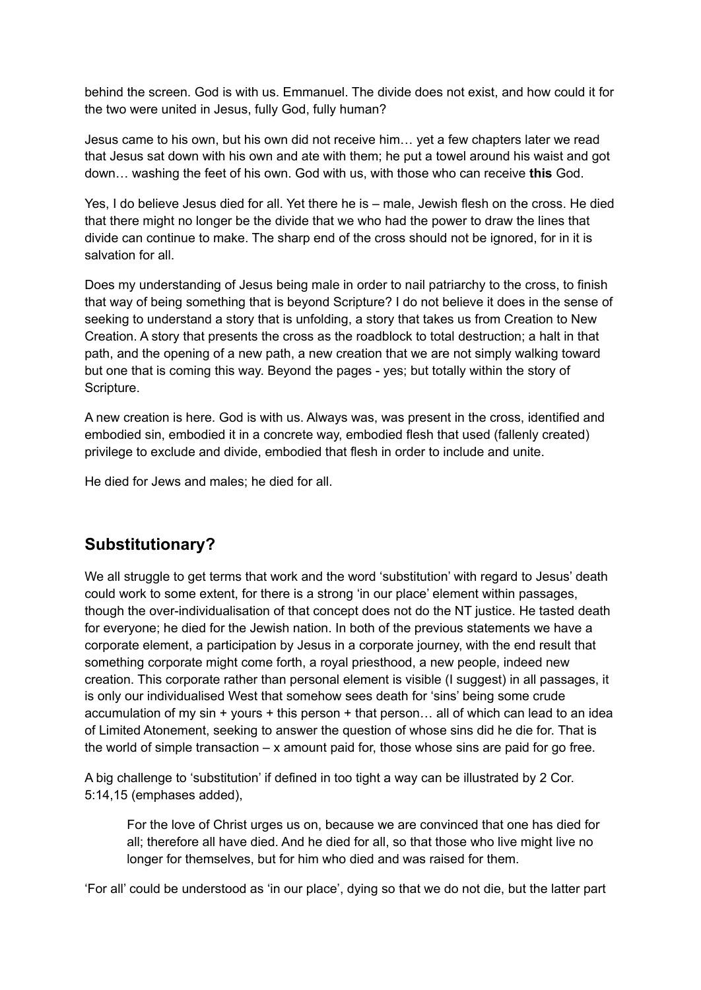behind the screen. God is with us. Emmanuel. The divide does not exist, and how could it for the two were united in Jesus, fully God, fully human?

Jesus came to his own, but his own did not receive him… yet a few chapters later we read that Jesus sat down with his own and ate with them; he put a towel around his waist and got down… washing the feet of his own. God with us, with those who can receive **this** God.

Yes, I do believe Jesus died for all. Yet there he is – male, Jewish flesh on the cross. He died that there might no longer be the divide that we who had the power to draw the lines that divide can continue to make. The sharp end of the cross should not be ignored, for in it is salvation for all.

Does my understanding of Jesus being male in order to nail patriarchy to the cross, to finish that way of being something that is beyond Scripture? I do not believe it does in the sense of seeking to understand a story that is unfolding, a story that takes us from Creation to New Creation. A story that presents the cross as the roadblock to total destruction; a halt in that path, and the opening of a new path, a new creation that we are not simply walking toward but one that is coming this way. Beyond the pages - yes; but totally within the story of Scripture.

A new creation is here. God is with us. Always was, was present in the cross, identified and embodied sin, embodied it in a concrete way, embodied flesh that used (fallenly created) privilege to exclude and divide, embodied that flesh in order to include and unite.

He died for Jews and males; he died for all.

## **Substitutionary?**

We all struggle to get terms that work and the word 'substitution' with regard to Jesus' death could work to some extent, for there is a strong 'in our place' element within passages, though the over-individualisation of that concept does not do the NT justice. He tasted death for everyone; he died for the Jewish nation. In both of the previous statements we have a corporate element, a participation by Jesus in a corporate journey, with the end result that something corporate might come forth, a royal priesthood, a new people, indeed new creation. This corporate rather than personal element is visible (I suggest) in all passages, it is only our individualised West that somehow sees death for 'sins' being some crude accumulation of my sin  $+$  yours  $+$  this person  $+$  that person... all of which can lead to an idea of Limited Atonement, seeking to answer the question of whose sins did he die for. That is the world of simple transaction  $-x$  amount paid for, those whose sins are paid for go free.

A big challenge to 'substitution' if defined in too tight a way can be illustrated by 2 Cor. 5:14,15 (emphases added),

For the love of Christ urges us on, because we are convinced that one has died for all; therefore all have died. And he died for all, so that those who live might live no longer for themselves, but for him who died and was raised for them.

'For all' could be understood as 'in our place', dying so that we do not die, but the latter part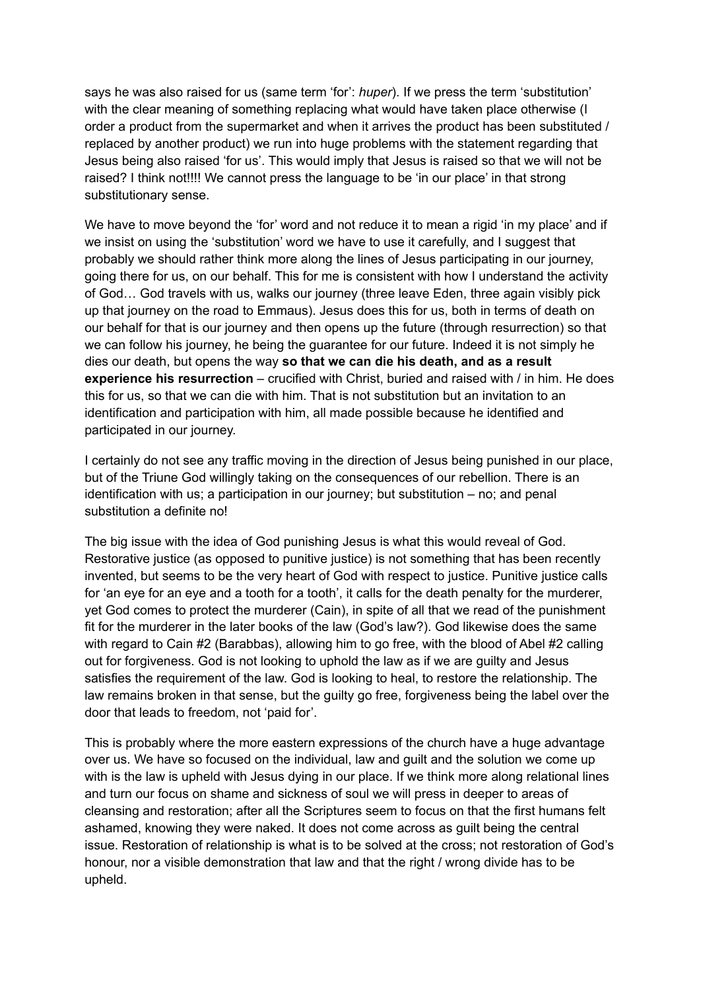says he was also raised for us (same term 'for': *huper*). If we press the term 'substitution' with the clear meaning of something replacing what would have taken place otherwise (I order a product from the supermarket and when it arrives the product has been substituted / replaced by another product) we run into huge problems with the statement regarding that Jesus being also raised 'for us'. This would imply that Jesus is raised so that we will not be raised? I think not!!!! We cannot press the language to be 'in our place' in that strong substitutionary sense.

We have to move beyond the 'for' word and not reduce it to mean a rigid 'in my place' and if we insist on using the 'substitution' word we have to use it carefully, and I suggest that probably we should rather think more along the lines of Jesus participating in our journey, going there for us, on our behalf. This for me is consistent with how I understand the activity of God… God travels with us, walks our journey (three leave Eden, three again visibly pick up that journey on the road to Emmaus). Jesus does this for us, both in terms of death on our behalf for that is our journey and then opens up the future (through resurrection) so that we can follow his journey, he being the guarantee for our future. Indeed it is not simply he dies our death, but opens the way **so that we can die his death, and as a result experience his resurrection** – crucified with Christ, buried and raised with / in him. He does this for us, so that we can die with him. That is not substitution but an invitation to an identification and participation with him, all made possible because he identified and participated in our journey.

I certainly do not see any traffic moving in the direction of Jesus being punished in our place, but of the Triune God willingly taking on the consequences of our rebellion. There is an identification with us; a participation in our journey; but substitution – no; and penal substitution a definite no!

The big issue with the idea of God punishing Jesus is what this would reveal of God. Restorative justice (as opposed to punitive justice) is not something that has been recently invented, but seems to be the very heart of God with respect to justice. Punitive justice calls for 'an eye for an eye and a tooth for a tooth', it calls for the death penalty for the murderer, yet God comes to protect the murderer (Cain), in spite of all that we read of the punishment fit for the murderer in the later books of the law (God's law?). God likewise does the same with regard to Cain #2 (Barabbas), allowing him to go free, with the blood of Abel #2 calling out for forgiveness. God is not looking to uphold the law as if we are guilty and Jesus satisfies the requirement of the law. God is looking to heal, to restore the relationship. The law remains broken in that sense, but the guilty go free, forgiveness being the label over the door that leads to freedom, not 'paid for'.

This is probably where the more eastern expressions of the church have a huge advantage over us. We have so focused on the individual, law and guilt and the solution we come up with is the law is upheld with Jesus dying in our place. If we think more along relational lines and turn our focus on shame and sickness of soul we will press in deeper to areas of cleansing and restoration; after all the Scriptures seem to focus on that the first humans felt ashamed, knowing they were naked. It does not come across as guilt being the central issue. Restoration of relationship is what is to be solved at the cross; not restoration of God's honour, nor a visible demonstration that law and that the right / wrong divide has to be upheld.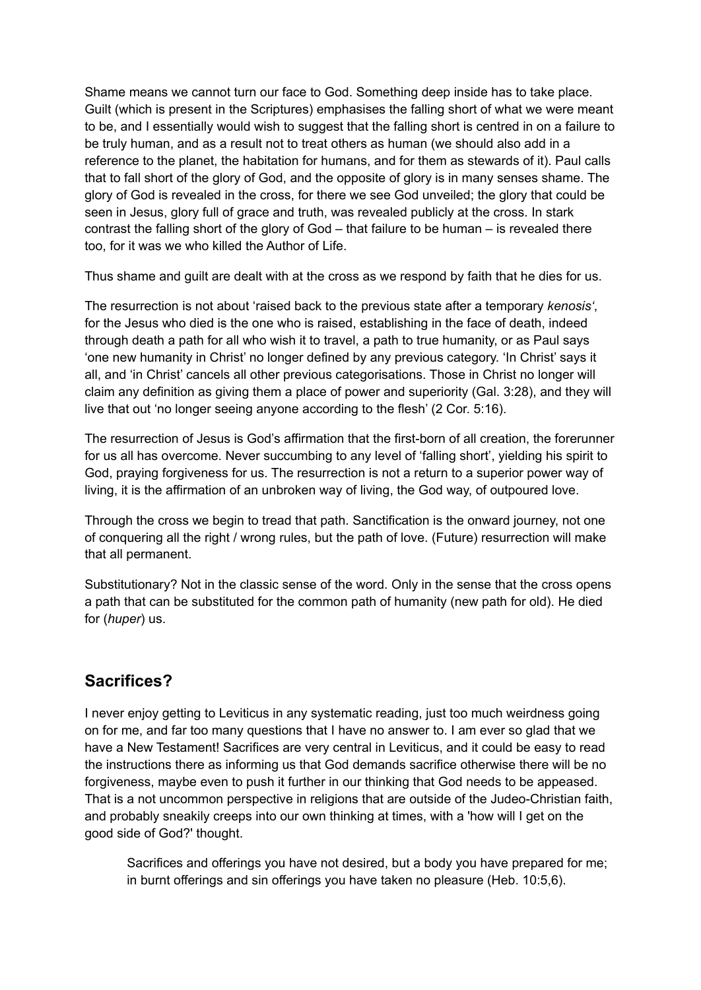Shame means we cannot turn our face to God. Something deep inside has to take place. Guilt (which is present in the Scriptures) emphasises the falling short of what we were meant to be, and I essentially would wish to suggest that the falling short is centred in on a failure to be truly human, and as a result not to treat others as human (we should also add in a reference to the planet, the habitation for humans, and for them as stewards of it). Paul calls that to fall short of the glory of God, and the opposite of glory is in many senses shame. The glory of God is revealed in the cross, for there we see God unveiled; the glory that could be seen in Jesus, glory full of grace and truth, was revealed publicly at the cross. In stark contrast the falling short of the glory of God – that failure to be human – is revealed there too, for it was we who killed the Author of Life.

Thus shame and guilt are dealt with at the cross as we respond by faith that he dies for us.

The resurrection is not about 'raised back to the previous state after a temporary *kenosis'*, for the Jesus who died is the one who is raised, establishing in the face of death, indeed through death a path for all who wish it to travel, a path to true humanity, or as Paul says 'one new humanity in Christ' no longer defined by any previous category. 'In Christ' says it all, and 'in Christ' cancels all other previous categorisations. Those in Christ no longer will claim any definition as giving them a place of power and superiority (Gal. 3:28), and they will live that out 'no longer seeing anyone according to the flesh' (2 Cor. 5:16).

The resurrection of Jesus is God's affirmation that the first-born of all creation, the forerunner for us all has overcome. Never succumbing to any level of 'falling short', yielding his spirit to God, praying forgiveness for us. The resurrection is not a return to a superior power way of living, it is the affirmation of an unbroken way of living, the God way, of outpoured love.

Through the cross we begin to tread that path. Sanctification is the onward journey, not one of conquering all the right / wrong rules, but the path of love. (Future) resurrection will make that all permanent.

Substitutionary? Not in the classic sense of the word. Only in the sense that the cross opens a path that can be substituted for the common path of humanity (new path for old). He died for (*huper*) us.

# **Sacrifices?**

I never enjoy getting to Leviticus in any systematic reading, just too much weirdness going on for me, and far too many questions that I have no answer to. I am ever so glad that we have a New Testament! Sacrifices are very central in Leviticus, and it could be easy to read the instructions there as informing us that God demands sacrifice otherwise there will be no forgiveness, maybe even to push it further in our thinking that God needs to be appeased. That is a not uncommon perspective in religions that are outside of the Judeo-Christian faith, and probably sneakily creeps into our own thinking at times, with a 'how will I get on the good side of God?' thought.

Sacrifices and offerings you have not desired, but a body you have prepared for me; in burnt offerings and sin offerings you have taken no pleasure (Heb. 10:5,6).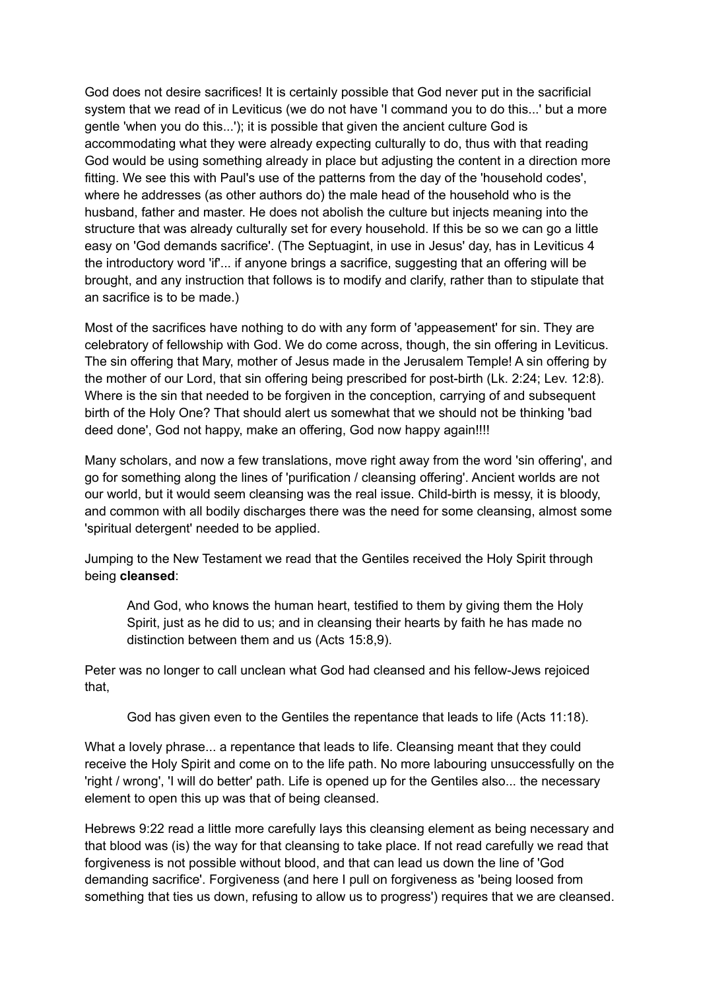God does not desire sacrifices! It is certainly possible that God never put in the sacrificial system that we read of in Leviticus (we do not have 'I command you to do this...' but a more gentle 'when you do this...'); it is possible that given the ancient culture God is accommodating what they were already expecting culturally to do, thus with that reading God would be using something already in place but adjusting the content in a direction more fitting. We see this with Paul's use of the patterns from the day of the 'household codes', where he addresses (as other authors do) the male head of the household who is the husband, father and master. He does not abolish the culture but injects meaning into the structure that was already culturally set for every household. If this be so we can go a little easy on 'God demands sacrifice'. (The Septuagint, in use in Jesus' day, has in Leviticus 4 the introductory word 'if'... if anyone brings a sacrifice, suggesting that an offering will be brought, and any instruction that follows is to modify and clarify, rather than to stipulate that an sacrifice is to be made.)

Most of the sacrifices have nothing to do with any form of 'appeasement' for sin. They are celebratory of fellowship with God. We do come across, though, the sin offering in Leviticus. The sin offering that Mary, mother of Jesus made in the Jerusalem Temple! A sin offering by the mother of our Lord, that sin offering being prescribed for post-birth (Lk. 2:24; Lev. 12:8). Where is the sin that needed to be forgiven in the conception, carrying of and subsequent birth of the Holy One? That should alert us somewhat that we should not be thinking 'bad deed done', God not happy, make an offering, God now happy again!!!!

Many scholars, and now a few translations, move right away from the word 'sin offering', and go for something along the lines of 'purification / cleansing offering'. Ancient worlds are not our world, but it would seem cleansing was the real issue. Child-birth is messy, it is bloody, and common with all bodily discharges there was the need for some cleansing, almost some 'spiritual detergent' needed to be applied.

Jumping to the New Testament we read that the Gentiles received the Holy Spirit through being **cleansed**:

And God, who knows the human heart, testified to them by giving them the Holy Spirit, just as he did to us; and in cleansing their hearts by faith he has made no distinction between them and us (Acts 15:8,9).

Peter was no longer to call unclean what God had cleansed and his fellow-Jews rejoiced that,

God has given even to the Gentiles the repentance that leads to life (Acts 11:18).

What a lovely phrase... a repentance that leads to life. Cleansing meant that they could receive the Holy Spirit and come on to the life path. No more labouring unsuccessfully on the 'right / wrong', 'I will do better' path. Life is opened up for the Gentiles also... the necessary element to open this up was that of being cleansed.

Hebrews 9:22 read a little more carefully lays this cleansing element as being necessary and that blood was (is) the way for that cleansing to take place. If not read carefully we read that forgiveness is not possible without blood, and that can lead us down the line of 'God demanding sacrifice'. Forgiveness (and here I pull on forgiveness as 'being loosed from something that ties us down, refusing to allow us to progress') requires that we are cleansed.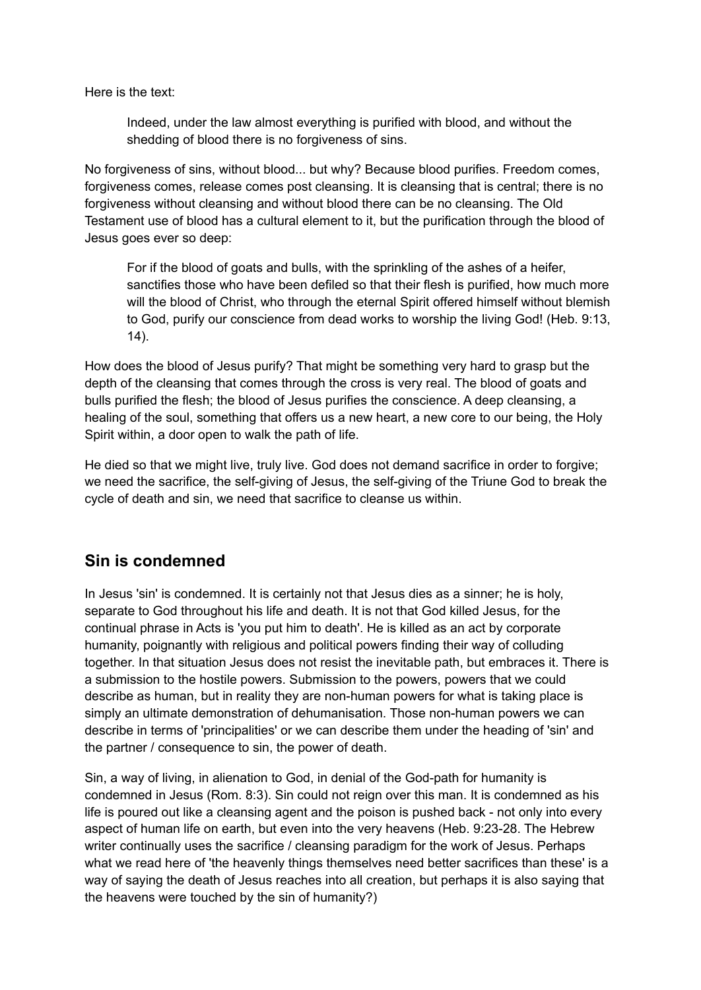Here is the text:

Indeed, under the law almost everything is purified with blood, and without the shedding of blood there is no forgiveness of sins.

No forgiveness of sins, without blood... but why? Because blood purifies. Freedom comes, forgiveness comes, release comes post cleansing. It is cleansing that is central; there is no forgiveness without cleansing and without blood there can be no cleansing. The Old Testament use of blood has a cultural element to it, but the purification through the blood of Jesus goes ever so deep:

For if the blood of goats and bulls, with the sprinkling of the ashes of a heifer, sanctifies those who have been defiled so that their flesh is purified, how much more will the blood of Christ, who through the eternal Spirit offered himself without blemish to God, purify our conscience from dead works to worship the living God! (Heb. 9:13, 14).

How does the blood of Jesus purify? That might be something very hard to grasp but the depth of the cleansing that comes through the cross is very real. The blood of goats and bulls purified the flesh; the blood of Jesus purifies the conscience. A deep cleansing, a healing of the soul, something that offers us a new heart, a new core to our being, the Holy Spirit within, a door open to walk the path of life.

He died so that we might live, truly live. God does not demand sacrifice in order to forgive; we need the sacrifice, the self-giving of Jesus, the self-giving of the Triune God to break the cycle of death and sin, we need that sacrifice to cleanse us within.

## **Sin is condemned**

In Jesus 'sin' is condemned. It is certainly not that Jesus dies as a sinner; he is holy, separate to God throughout his life and death. It is not that God killed Jesus, for the continual phrase in Acts is 'you put him to death'. He is killed as an act by corporate humanity, poignantly with religious and political powers finding their way of colluding together. In that situation Jesus does not resist the inevitable path, but embraces it. There is a submission to the hostile powers. Submission to the powers, powers that we could describe as human, but in reality they are non-human powers for what is taking place is simply an ultimate demonstration of dehumanisation. Those non-human powers we can describe in terms of 'principalities' or we can describe them under the heading of 'sin' and the partner / consequence to sin, the power of death.

Sin, a way of living, in alienation to God, in denial of the God-path for humanity is condemned in Jesus (Rom. 8:3). Sin could not reign over this man. It is condemned as his life is poured out like a cleansing agent and the poison is pushed back - not only into every aspect of human life on earth, but even into the very heavens (Heb. 9:23-28. The Hebrew writer continually uses the sacrifice / cleansing paradigm for the work of Jesus. Perhaps what we read here of 'the heavenly things themselves need better sacrifices than these' is a way of saying the death of Jesus reaches into all creation, but perhaps it is also saying that the heavens were touched by the sin of humanity?)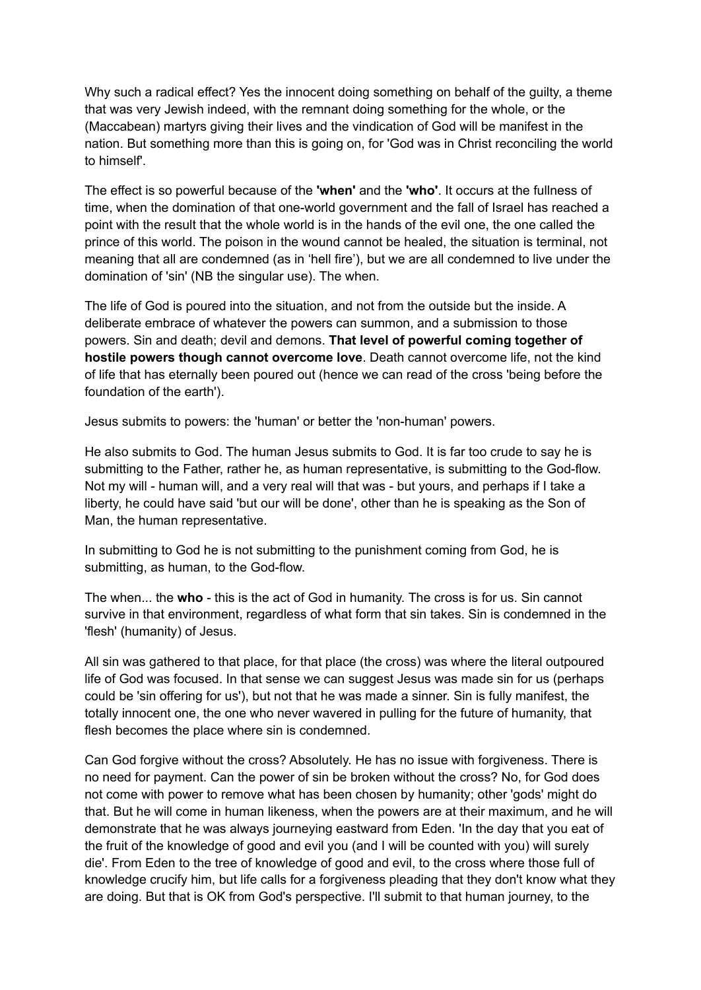Why such a radical effect? Yes the innocent doing something on behalf of the guilty, a theme that was very Jewish indeed, with the remnant doing something for the whole, or the (Maccabean) martyrs giving their lives and the vindication of God will be manifest in the nation. But something more than this is going on, for 'God was in Christ reconciling the world to himself'.

The effect is so powerful because of the **'when'** and the **'who'**. It occurs at the fullness of time, when the domination of that one-world government and the fall of Israel has reached a point with the result that the whole world is in the hands of the evil one, the one called the prince of this world. The poison in the wound cannot be healed, the situation is terminal, not meaning that all are condemned (as in 'hell fire'), but we are all condemned to live under the domination of 'sin' (NB the singular use). The when.

The life of God is poured into the situation, and not from the outside but the inside. A deliberate embrace of whatever the powers can summon, and a submission to those powers. Sin and death; devil and demons. **That level of powerful coming together of hostile powers though cannot overcome love**. Death cannot overcome life, not the kind of life that has eternally been poured out (hence we can read of the cross 'being before the foundation of the earth').

Jesus submits to powers: the 'human' or better the 'non-human' powers.

He also submits to God. The human Jesus submits to God. It is far too crude to say he is submitting to the Father, rather he, as human representative, is submitting to the God-flow. Not my will - human will, and a very real will that was - but yours, and perhaps if I take a liberty, he could have said 'but our will be done', other than he is speaking as the Son of Man, the human representative.

In submitting to God he is not submitting to the punishment coming from God, he is submitting, as human, to the God-flow.

The when... the **who** - this is the act of God in humanity. The cross is for us. Sin cannot survive in that environment, regardless of what form that sin takes. Sin is condemned in the 'flesh' (humanity) of Jesus.

All sin was gathered to that place, for that place (the cross) was where the literal outpoured life of God was focused. In that sense we can suggest Jesus was made sin for us (perhaps could be 'sin offering for us'), but not that he was made a sinner. Sin is fully manifest, the totally innocent one, the one who never wavered in pulling for the future of humanity, that flesh becomes the place where sin is condemned.

Can God forgive without the cross? Absolutely. He has no issue with forgiveness. There is no need for payment. Can the power of sin be broken without the cross? No, for God does not come with power to remove what has been chosen by humanity; other 'gods' might do that. But he will come in human likeness, when the powers are at their maximum, and he will demonstrate that he was always journeying eastward from Eden. 'In the day that you eat of the fruit of the knowledge of good and evil you (and I will be counted with you) will surely die'. From Eden to the tree of knowledge of good and evil, to the cross where those full of knowledge crucify him, but life calls for a forgiveness pleading that they don't know what they are doing. But that is OK from God's perspective. I'll submit to that human journey, to the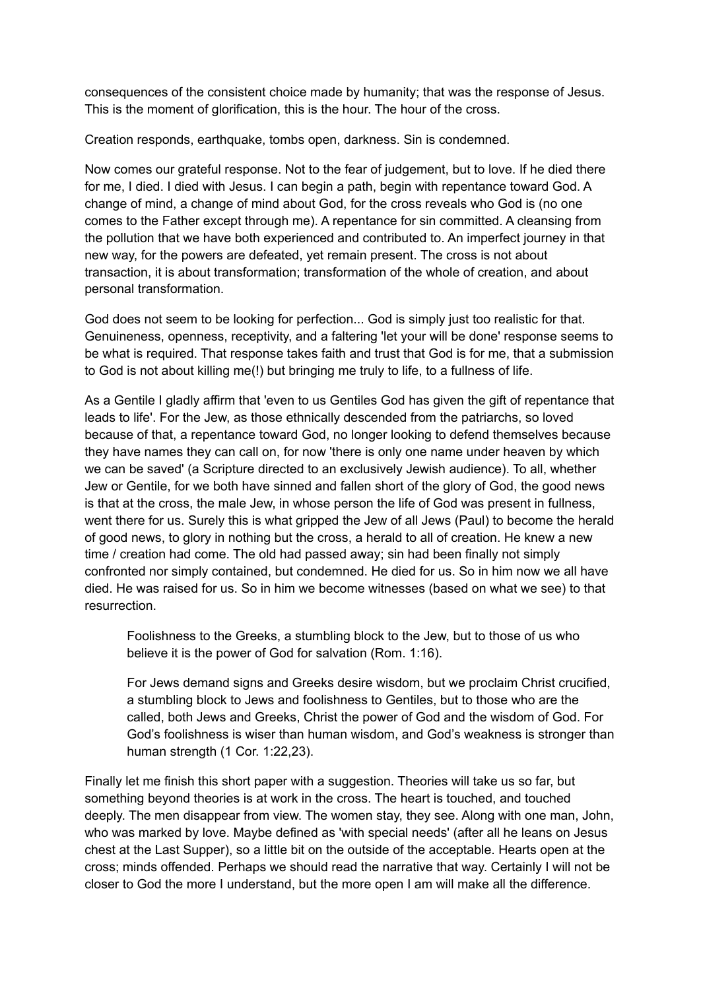consequences of the consistent choice made by humanity; that was the response of Jesus. This is the moment of glorification, this is the hour. The hour of the cross.

Creation responds, earthquake, tombs open, darkness. Sin is condemned.

Now comes our grateful response. Not to the fear of judgement, but to love. If he died there for me, I died. I died with Jesus. I can begin a path, begin with repentance toward God. A change of mind, a change of mind about God, for the cross reveals who God is (no one comes to the Father except through me). A repentance for sin committed. A cleansing from the pollution that we have both experienced and contributed to. An imperfect journey in that new way, for the powers are defeated, yet remain present. The cross is not about transaction, it is about transformation; transformation of the whole of creation, and about personal transformation.

God does not seem to be looking for perfection... God is simply just too realistic for that. Genuineness, openness, receptivity, and a faltering 'let your will be done' response seems to be what is required. That response takes faith and trust that God is for me, that a submission to God is not about killing me(!) but bringing me truly to life, to a fullness of life.

As a Gentile I gladly affirm that 'even to us Gentiles God has given the gift of repentance that leads to life'. For the Jew, as those ethnically descended from the patriarchs, so loved because of that, a repentance toward God, no longer looking to defend themselves because they have names they can call on, for now 'there is only one name under heaven by which we can be saved' (a Scripture directed to an exclusively Jewish audience). To all, whether Jew or Gentile, for we both have sinned and fallen short of the glory of God, the good news is that at the cross, the male Jew, in whose person the life of God was present in fullness, went there for us. Surely this is what gripped the Jew of all Jews (Paul) to become the herald of good news, to glory in nothing but the cross, a herald to all of creation. He knew a new time / creation had come. The old had passed away; sin had been finally not simply confronted nor simply contained, but condemned. He died for us. So in him now we all have died. He was raised for us. So in him we become witnesses (based on what we see) to that resurrection.

Foolishness to the Greeks, a stumbling block to the Jew, but to those of us who believe it is the power of God for salvation (Rom. 1:16).

For Jews demand signs and Greeks desire wisdom, but we proclaim Christ crucified, a stumbling block to Jews and foolishness to Gentiles, but to those who are the called, both Jews and Greeks, Christ the power of God and the wisdom of God. For God's foolishness is wiser than human wisdom, and God's weakness is stronger than human strength (1 Cor. 1:22,23).

Finally let me finish this short paper with a suggestion. Theories will take us so far, but something beyond theories is at work in the cross. The heart is touched, and touched deeply. The men disappear from view. The women stay, they see. Along with one man, John, who was marked by love. Maybe defined as 'with special needs' (after all he leans on Jesus chest at the Last Supper), so a little bit on the outside of the acceptable. Hearts open at the cross; minds offended. Perhaps we should read the narrative that way. Certainly I will not be closer to God the more I understand, but the more open I am will make all the difference.